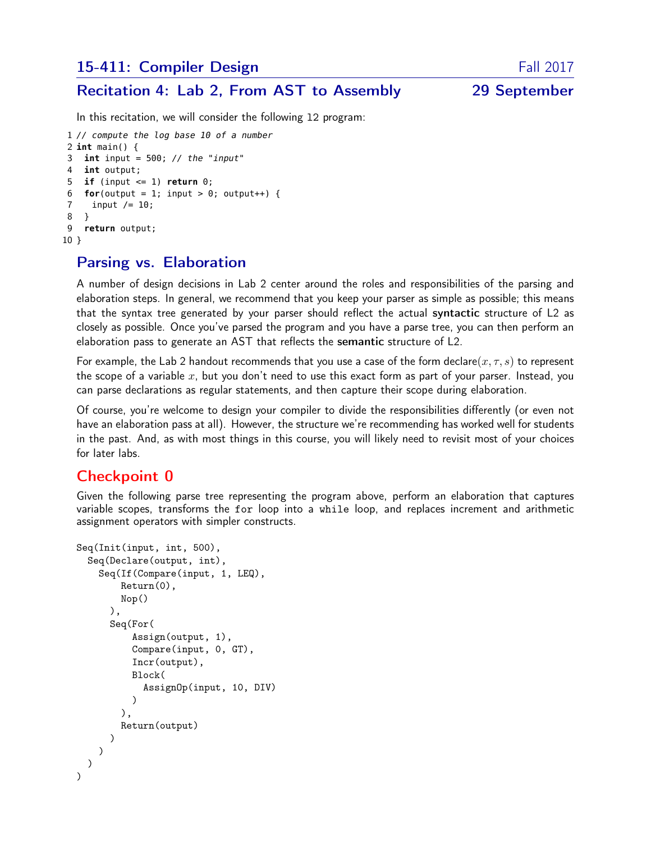### 15-411: Compiler Design Fall 2017

#### Recitation 4: Lab 2, From AST to Assembly 29 September

In this recitation, we will consider the following l2 program:

```
1 // compute the log base 10 of a number
2 int main() {
3 int input = 500; // the "input"
4 int output;
5 if (input <= 1) return 0;
6 for(output = 1; input > 0; output++) {
7 input / = 10;
8 }
9 return output;
10 }
```
## Parsing vs. Elaboration

A number of design decisions in Lab 2 center around the roles and responsibilities of the parsing and elaboration steps. In general, we recommend that you keep your parser as simple as possible; this means that the syntax tree generated by your parser should reflect the actual syntactic structure of L2 as closely as possible. Once you've parsed the program and you have a parse tree, you can then perform an elaboration pass to generate an AST that reflects the semantic structure of L2.

For example, the Lab 2 handout recommends that you use a case of the form declare( $x, \tau, s$ ) to represent the scope of a variable x, but you don't need to use this exact form as part of your parser. Instead, you can parse declarations as regular statements, and then capture their scope during elaboration.

Of course, you're welcome to design your compiler to divide the responsibilities differently (or even not have an elaboration pass at all). However, the structure we're recommending has worked well for students in the past. And, as with most things in this course, you will likely need to revisit most of your choices for later labs.

#### Checkpoint 0

Given the following parse tree representing the program above, perform an elaboration that captures variable scopes, transforms the for loop into a while loop, and replaces increment and arithmetic assignment operators with simpler constructs.

```
Seq(Init(input, int, 500),
  Seq(Declare(output, int),
    Seq(If(Compare(input, 1, LEQ),
        Return(0),
        Nop()
      ),
      Seq(For(
           Assign(output, 1),
           Compare(input, 0, GT),
           Incr(output),
           Block(
             AssignOp(input, 10, DIV)
           \lambda),
        Return(output)
      \lambda)
  )
)
```